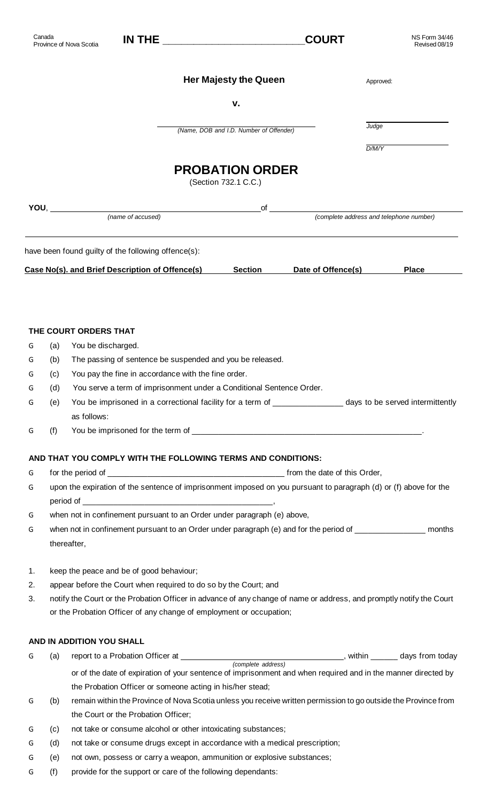| Canada |      | Province of Nova Scotia                                                     | <u>IN THE _____________________</u>                                     |                                                | <b>COURT</b>       | <b>NS Form 34/46</b><br>Revised 08/19                                                                                |
|--------|------|-----------------------------------------------------------------------------|-------------------------------------------------------------------------|------------------------------------------------|--------------------|----------------------------------------------------------------------------------------------------------------------|
|        |      |                                                                             |                                                                         | <b>Her Majesty the Queen</b>                   |                    | Approved:                                                                                                            |
|        |      |                                                                             |                                                                         | v.                                             |                    |                                                                                                                      |
|        |      |                                                                             |                                                                         | (Name, DOB and I.D. Number of Offender)        |                    | Judge                                                                                                                |
|        |      |                                                                             |                                                                         |                                                |                    | D/M/Y                                                                                                                |
|        |      |                                                                             |                                                                         | <b>PROBATION ORDER</b><br>(Section 732.1 C.C.) |                    |                                                                                                                      |
|        | YOU, | (name of accused)                                                           |                                                                         | of                                             |                    | (complete address and telephone number)                                                                              |
|        |      | have been found guilty of the following offence(s):                         |                                                                         |                                                |                    |                                                                                                                      |
|        |      | Case No(s). and Brief Description of Offence(s)                             |                                                                         | <b>Section</b>                                 | Date of Offence(s) | <b>Place</b>                                                                                                         |
|        |      |                                                                             |                                                                         |                                                |                    |                                                                                                                      |
|        |      |                                                                             |                                                                         |                                                |                    |                                                                                                                      |
|        |      | THE COURT ORDERS THAT                                                       |                                                                         |                                                |                    |                                                                                                                      |
| G      | (a)  | You be discharged.                                                          |                                                                         |                                                |                    |                                                                                                                      |
| G      | (b)  | The passing of sentence be suspended and you be released.                   |                                                                         |                                                |                    |                                                                                                                      |
| G      | (c)  | You pay the fine in accordance with the fine order.                         |                                                                         |                                                |                    |                                                                                                                      |
| G      | (d)  | You serve a term of imprisonment under a Conditional Sentence Order.        |                                                                         |                                                |                    |                                                                                                                      |
| G      | (e)  |                                                                             |                                                                         |                                                |                    | You be imprisoned in a correctional facility for a term of ____________________ days to be served intermittently     |
|        |      | as follows:                                                                 |                                                                         |                                                |                    |                                                                                                                      |
| G      | (f)  |                                                                             |                                                                         |                                                |                    |                                                                                                                      |
|        |      | AND THAT YOU COMPLY WITH THE FOLLOWING TERMS AND CONDITIONS:                |                                                                         |                                                |                    |                                                                                                                      |
| G      |      |                                                                             |                                                                         |                                                |                    |                                                                                                                      |
| G      |      |                                                                             |                                                                         |                                                |                    | upon the expiration of the sentence of imprisonment imposed on you pursuant to paragraph (d) or (f) above for the    |
|        |      |                                                                             |                                                                         |                                                |                    |                                                                                                                      |
| G      |      | when not in confinement pursuant to an Order under paragraph (e) above,     |                                                                         |                                                |                    |                                                                                                                      |
| G      |      |                                                                             |                                                                         |                                                |                    | when not in confinement pursuant to an Order under paragraph (e) and for the period of __________________ months     |
|        |      | thereafter,                                                                 |                                                                         |                                                |                    |                                                                                                                      |
| 1.     |      | keep the peace and be of good behaviour;                                    |                                                                         |                                                |                    |                                                                                                                      |
| 2.     |      | appear before the Court when required to do so by the Court; and            |                                                                         |                                                |                    |                                                                                                                      |
| 3.     |      |                                                                             |                                                                         |                                                |                    | notify the Court or the Probation Officer in advance of any change of name or address, and promptly notify the Court |
|        |      | or the Probation Officer of any change of employment or occupation;         |                                                                         |                                                |                    |                                                                                                                      |
|        |      | AND IN ADDITION YOU SHALL                                                   |                                                                         |                                                |                    |                                                                                                                      |
| G      | (a)  |                                                                             |                                                                         |                                                |                    |                                                                                                                      |
|        |      |                                                                             |                                                                         |                                                |                    | or of the date of expiration of your sentence of imprisonment and when required and in the manner directed by        |
|        |      | the Probation Officer or someone acting in his/her stead;                   |                                                                         |                                                |                    |                                                                                                                      |
| G      | (b)  |                                                                             |                                                                         |                                                |                    | remain within the Province of Nova Scotia unless you receive written permission to go outside the Province from      |
|        |      | the Court or the Probation Officer;                                         |                                                                         |                                                |                    |                                                                                                                      |
| G      | (c)  | not take or consume alcohol or other intoxicating substances;               |                                                                         |                                                |                    |                                                                                                                      |
| G      | (d)  | not take or consume drugs except in accordance with a medical prescription; |                                                                         |                                                |                    |                                                                                                                      |
| G      | (e)  |                                                                             | not own, possess or carry a weapon, ammunition or explosive substances; |                                                |                    |                                                                                                                      |

G (f) provide for the support or care of the following dependants: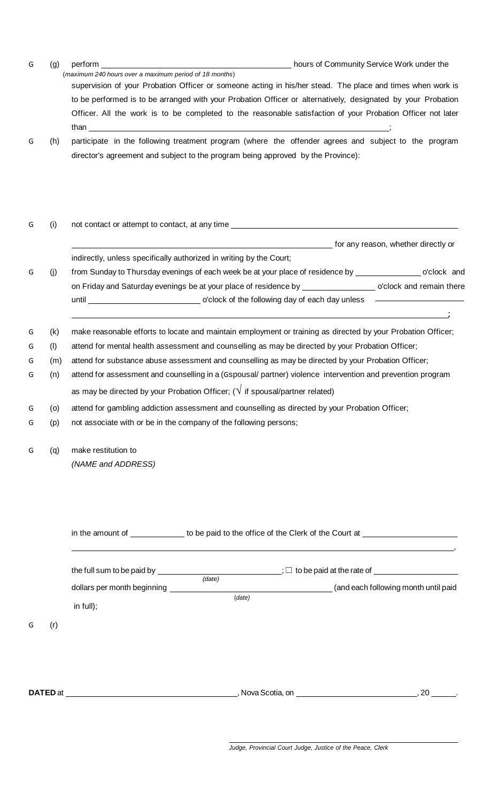| G | (g) | perform                                                                                                      | hours of Community Service Work under the |
|---|-----|--------------------------------------------------------------------------------------------------------------|-------------------------------------------|
|   |     | (maximum 240 hours over a maximum period of 18 months)                                                       |                                           |
|   |     | supervision of your Probation Officer or someone acting in his/her stead. The place and times when work is   |                                           |
|   |     | to be performed is to be arranged with your Probation Officer or alternatively, designated by your Probation |                                           |
|   |     | Officer. All the work is to be completed to the reasonable satisfaction of your Probation Officer not later  |                                           |
|   |     | than                                                                                                         |                                           |
| G | (h) | participate in the following treatment program (where the offender agrees and subject to the program         |                                           |
|   |     | director's agreement and subject to the program being approved by the Province):                             |                                           |

| (i) | not contact or attempt to contact, at any time __________________________________                              |  |  |  |  |
|-----|----------------------------------------------------------------------------------------------------------------|--|--|--|--|
|     | for any reason, whether directly or                                                                            |  |  |  |  |
|     | indirectly, unless specifically authorized in writing by the Court;                                            |  |  |  |  |
| (i) | from Sunday to Thursday evenings of each week be at your place of residence by ________________ o'clock and    |  |  |  |  |
|     | on Friday and Saturday evenings be at your place of residence by ____________________ o'clock and remain there |  |  |  |  |
|     |                                                                                                                |  |  |  |  |
| (k) | make reasonable efforts to locate and maintain employment or training as directed by your Probation Officer;   |  |  |  |  |
| (1) | attend for mental health assessment and counselling as may be directed by your Probation Officer;              |  |  |  |  |
| (m) | attend for substance abuse assessment and counselling as may be directed by your Probation Officer;            |  |  |  |  |
| (n) | attend for assessment and counselling in a (Gspousal/ partner) violence intervention and prevention program    |  |  |  |  |
|     | as may be directed by your Probation Officer; ( $\sqrt{}$ if spousal/partner related)                          |  |  |  |  |
| (o) | attend for gambling addiction assessment and counselling as directed by your Probation Officer;                |  |  |  |  |
| (p) | not associate with or be in the company of the following persons;                                              |  |  |  |  |
| (q) | make restitution to                                                                                            |  |  |  |  |
|     | (NAME and ADDRESS)                                                                                             |  |  |  |  |
|     |                                                                                                                |  |  |  |  |
|     |                                                                                                                |  |  |  |  |
|     | in the amount of _____________ to be paid to the office of the Clerk of the Court at ______________            |  |  |  |  |
|     |                                                                                                                |  |  |  |  |

| (r)<br>G        | the full sum to be paid by<br>dollars per month beginning<br>in $full);$ | (data)<br>(data)                          | $\frac{1}{2}$ ; $\Box$ to be paid at the rate of $\Box$<br>(and each following month until paid |
|-----------------|--------------------------------------------------------------------------|-------------------------------------------|-------------------------------------------------------------------------------------------------|
| <b>DATED</b> at |                                                                          | , Nova Scotia, on <b>Nova Scotia</b> , on | 20                                                                                              |